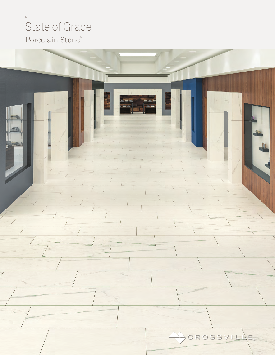## Porcelain Stone® State of Grace

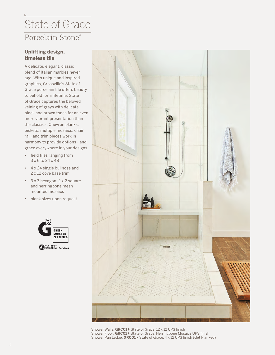## Porcelain Stone® State of Grace

### **Uplifting design, timeless tile**

A delicate, elegant, classic blend of Italian marbles never age. With unique and inspired graphics, Crossville's State of Grace porcelain tile offers beauty to behold for a lifetime. State of Grace captures the beloved veining of grays with delicate black and brown tones for an even more vibrant presentation than the classics. Chevron planks, pickets, multiple mosaics, chair rail, and trim pieces work in harmony to provide options - and grace everywhere in your designs.

- field tiles ranging from 3 x 6 to 24 x 48
- 4 x 24 single bullnose and 2 x 12 cove base trim
- 3 x 3 hexagon, 2 x 2 square and herringbone mesh mounted mosaics
- plank sizes upon request





Shower Walls: **GRC01**  $\triangleright$  State of Grace, 12 x 12 UPS finish Shower Floor: GRC01 > State of Grace, Herringbone Mosaics UPS finish Shower Pan Ledge: **GRC01**  $\triangleright$  State of Grace, 4 x 12 UPS finish (Get Planked)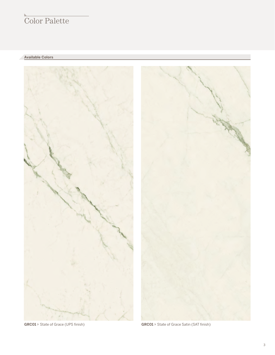## Color Palette

**Available Colors**

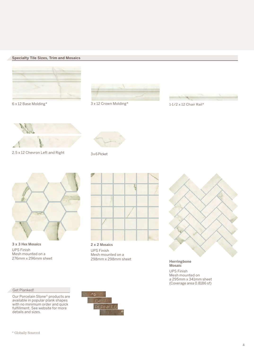#### **Specialty Tile Sizes, Trim and Mosaics**





6 x 12 Base Molding\* 3 x 12 Crown Molding\* 1-1/2 x 12 Chair Rail\*





2.5 x 12 Chevron Left and Right 3 x 6 Picket





**3 x 3 Hex Mosaics** UPS Finish Mesh mounted on a 276mm x 296mm sheet

#### Get Planked!

Our Porcelain Stone® products are available in popular plank shapes with no minimum order and quick fulfillment. See website for more details and sizes.



**2 x 2 Mosaics** UPS Finish Mesh mounted on a



298mm x 298mm sheet **Herringbone Mosaic** UPS Finish Mesh mounted on

a 295mm x 341mm sheet (Coverage area 0.8186 sf)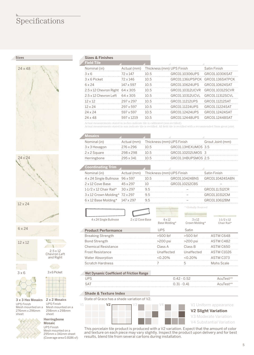### Specifications

**Sizes**





12 x 24

6 x 24

12 x 12



 $3 \times 6$   $3 \times 6$  Picket



UPS Finish Mesh mounted on a 276mm x 296mm sheet

# **2 x 2 Mosaics**

UPS Finish Mesh mounted on a 298mm x 298mm sheet

2.5 x 12 Chevron Left and Right

THIS

 $\mathbf{1}$ 

#### **Herringbone Mosaic**

UPS Finish Mesh mounted on a 295mm x 341mm sheet (Coverage area 0.8186 sf)

#### **Sizes & Finishes**

| <b>Field Tile</b>                             |             |                           |                                 |                 |
|-----------------------------------------------|-------------|---------------------------|---------------------------------|-----------------|
| Nominal (in)                                  | Actual (mm) | Thickness (mm) UPS Finish |                                 | Satin Finish    |
| 3x6                                           | 72 x 147    | 10.5                      | GRC01.10306UPS                  | GRC01.10306SAT  |
| 3 x 6 Picket                                  | 72 x 146    | 10.5                      | GRC01.136UPSPCK GRC01.136SATPCK |                 |
| 6 x 24                                        | 147 x 597   | 10.5                      | GRC01.10624UPS                  | GRC01.10624SAT  |
| $2.5 \times 12$ Chevron Right $64 \times 305$ |             | 10.5                      | GRC01.10312UCVR                 | GRC01.10312SCVR |
| $2.5 \times 12$ Chevron Left $64 \times 305$  |             | 10.5                      | GRC01.10312UCVL                 | GRC01.11312SCVL |
| 12 x 12                                       | 297 x 297   | 10.5                      | GRC01.11212UPS                  | GRC01 11212SAT  |
| $12 \times 24$                                | 297 x 597   | $10\,5$                   | GRC01.11224UPS                  | GRC01.11224SAT  |
| $24 \times 24$                                | 597 x 597   | $10\,5$                   | GRC01.12424UPS                  | GRC01.12424SAT  |
| 24 x 48                                       | 597 x 1219  | $10\,5$                   | GRC01 12448UPS                  | GRC0112448SAT   |
|                                               |             |                           |                                 |                 |

Actual measurements stated in inches indicate tile is calibrated (non-rectified).

Actual measurements stated in mm indicate tile is rectified. All field tile is rectified with a recommended 3mm grout joint.

| Nominal (in)  | Actual (mm) | Thickness (mm) UPS Finish     |                     | Grout Joint (mm) |
|---------------|-------------|-------------------------------|---------------------|------------------|
| 3 x 3 Hexagon | 276 x 296   | 1()h                          | GRC01.13HFXUMOS 3.5 |                  |
| 2 x 2 Square  | 298 x 298   | 1()h                          | GRC01.10202UMOS 3   |                  |
| Herringbone   | 295 x 341   | $\lfloor$ $\lfloor$ $\rfloor$ | GRC01.1HBUPSMOS 2.5 |                  |
|               |             |                               |                     |                  |

#### **Coordinating Trim**

| Nominal (in)                           |          | Actual (mm) Thickness (mm) UPS Finish |                | Satin Finish    |
|----------------------------------------|----------|---------------------------------------|----------------|-----------------|
| 4 x 24 Single Bullnose 96 x 597        |          | 10.5                                  | GRC01.10424BNS | GRC01.10424SABN |
| 2 x 12 Cove Base                       | 45 x 297 | 10                                    | GRC01.10212CBS |                 |
| $1-1/2 \times 12$ Chair Rail* 30 x 297 |          | 9.5                                   |                | GRC01.11.512CR  |
| $3 \times 12$ Crown Molding* 72 x 297  |          | 9.5                                   |                | GRC01.10312CM   |
| $6 \times 12$ Base Molding* 147 x 297  |          | 95                                    |                | GRC01.10612BM   |

 $\sqrt{ }$  $4 \times 24$  S

| ove Base: | 6x12<br>Rase Mold |
|-----------|-------------------|

|                 | $\sim$           |
|-----------------|------------------|
| Single Bullnose | $2 \times 12$ Co |

|                            | Base Molding* | Crown Molding* | Chair Rail*       |
|----------------------------|---------------|----------------|-------------------|
| <b>Product Performance</b> | <b>UPS</b>    | Satin          |                   |
| <b>Breaking Strength</b>   | $>500$ lbf    | $>500$ lbf     | ASTM C648         |
| <b>Bond Strength</b>       | $>200$ psi    | $>200$ psi     | ASTM C482         |
| Chemical Resistance        | Class A       | Class B        | ASTM C650         |
| <b>Frost Resistance</b>    | Unaffected    | Unaffected     | <b>ASTM C1026</b> |
| Water Absorption           | $< 0.20\%$    | $< 0.20\%$     | ASTM C373         |
| Scratch Hardness           |               | 5              | Mohs Scale        |

#### **Wet Dynamic Coefficient of Friction Range**

| <b>UPS</b> | $0.42 - 0.52$ | AcuTestsm             |
|------------|---------------|-----------------------|
| <b>SAT</b> | $0.31 - 0.41$ | AcuTest <sup>sm</sup> |
|            |               |                       |

#### **Shade & Texture Index**

**3 x 3 Hex Mosaics** 2 x 2 Mosaics State of Grace has a shade variation of V2.



**V2 Slight Variation** V3 Moderate Variation V4 Substantial Variation

1-1/2 x 12

\* Globally Sourced

3 x 12

This porcelain tile product is produced with a V2 variation. Expect that the amount of color and texture on each piece may vary slightly. Inspect the product upon delivery and for best results, blend tile from several cartons during installation.